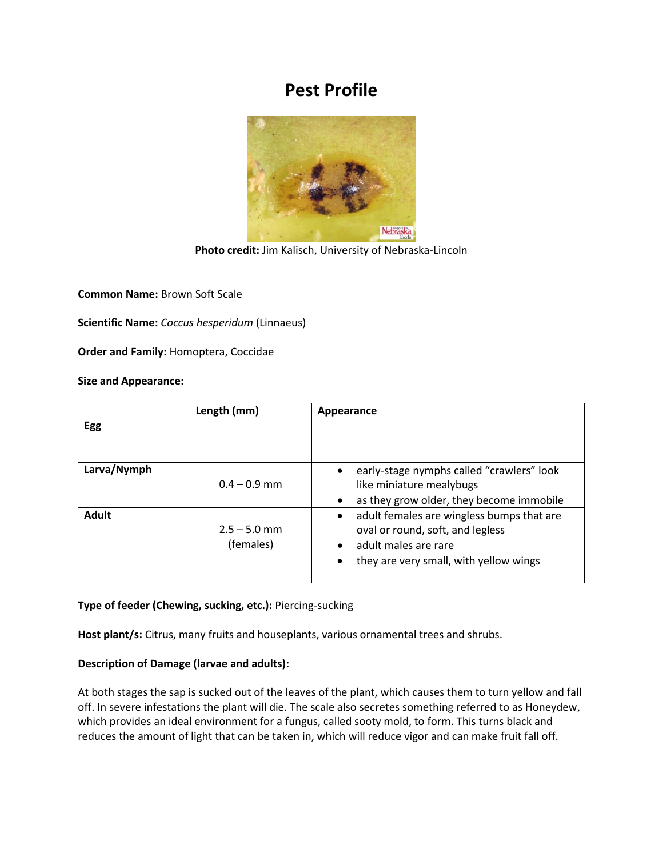# **Pest Profile**



**Photo credit:** Jim Kalisch, University of Nebraska-Lincoln

**Common Name:** Brown Soft Scale

**Scientific Name:** *Coccus hesperidum* (Linnaeus)

**Order and Family:** Homoptera, Coccidae

## **Size and Appearance:**

|              | Length (mm)                 | Appearance                                                                                                                                                   |
|--------------|-----------------------------|--------------------------------------------------------------------------------------------------------------------------------------------------------------|
| Egg          |                             |                                                                                                                                                              |
|              |                             |                                                                                                                                                              |
| Larva/Nymph  | $0.4 - 0.9$ mm              | early-stage nymphs called "crawlers" look<br>$\bullet$<br>like miniature mealybugs                                                                           |
|              |                             | as they grow older, they become immobile<br>$\bullet$                                                                                                        |
| <b>Adult</b> | $2.5 - 5.0$ mm<br>(females) | adult females are wingless bumps that are<br>$\bullet$<br>oval or round, soft, and legless<br>adult males are rare<br>they are very small, with yellow wings |
|              |                             |                                                                                                                                                              |

### **Type of feeder (Chewing, sucking, etc.):** Piercing-sucking

**Host plant/s:** Citrus, many fruits and houseplants, various ornamental trees and shrubs.

## **Description of Damage (larvae and adults):**

At both stages the sap is sucked out of the leaves of the plant, which causes them to turn yellow and fall off. In severe infestations the plant will die. The scale also secretes something referred to as Honeydew, which provides an ideal environment for a fungus, called sooty mold, to form. This turns black and reduces the amount of light that can be taken in, which will reduce vigor and can make fruit fall off.